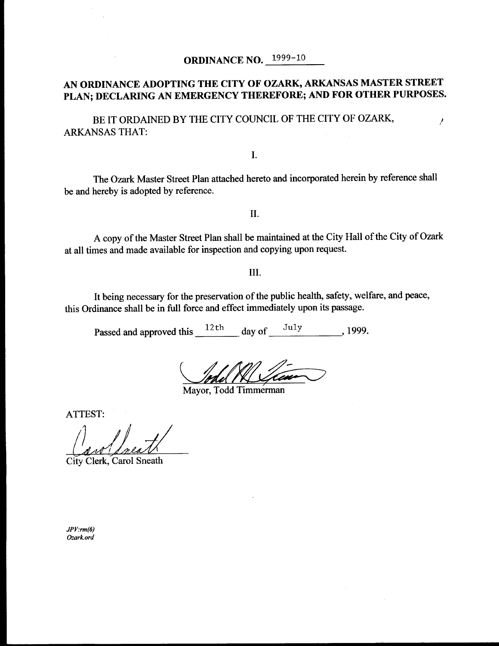#### AN ORDINANCE ADOPTING THE CITY OF OZARK, ARKANSAS MASTER STREET PLAN; DECLARING AN EMERGENCY THEREFORE; AND FOR OTHER PURPOSES.

BE IT ORDAINED BY THE CITY COUNCIL OF THE CITY OF OZARK,  $\overline{\phantom{a}}$ ARKANSAS THAT:

I.

The Ozark Master Street Plan attached hereto and incorporated herein by reference shall be and hereby is adopted by reference.

II.

A copy of the Master Street Plan shall be maintained at the City Hall of the City of Ozark at all times and made available for inspection and copying upon request.

III.

It being necessary for the preservation of the public health, safety, welfare, and peace, this Ordinance shall be in full force and effect immediately upon its passage.

Passed and approved this  $\frac{12 \text{ th}}{2 \text{ th}}$  day of  $\frac{\text{July}}{2 \text{ full}}$ , 1999.

Mayor, Todd Timmerman

ATTEST:

City Clerk, Carol Sneath

 $JPV:rm(6)$ Ozark. ord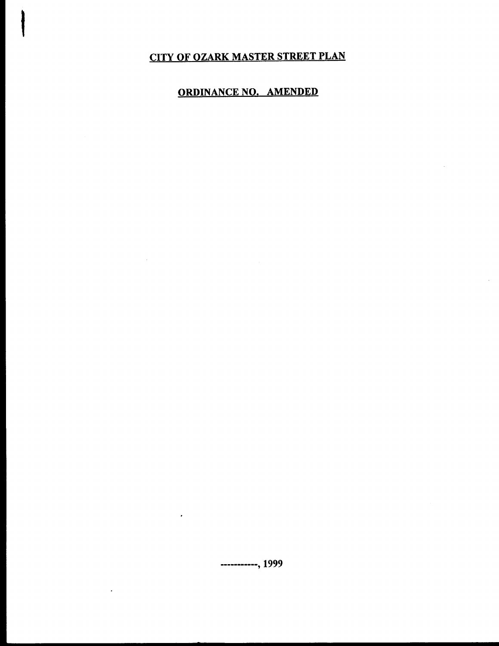## CITY OF OZARK MASTER STREET PLAN

### ORDINANCE NO. AMENDED

 $\sim$ 

----------, 1999

 $\cdot$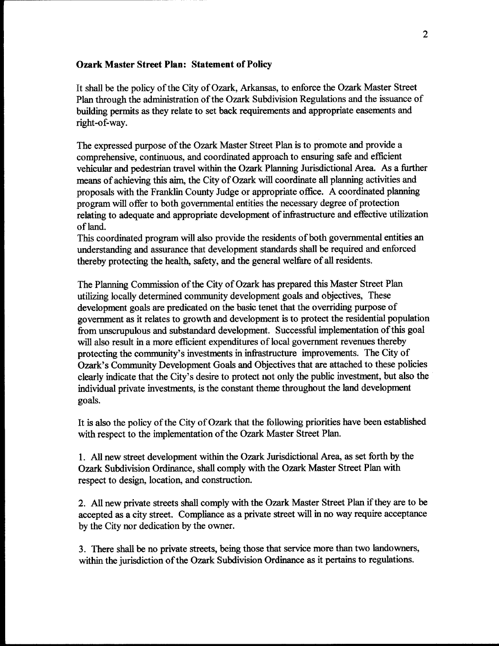#### Ozark Master Street Plan: Statement of Policy

It shall be the policy of the City of Ozark, Arkansas, to enforce the Ozark Master Street Plan through the administration of the Ozark Subdivision Regulations and the issuance of building permits as they relate to set back requirements and appropriate easements and right-of-way.

The expressed purpose of the Ozark Master Street Plan is to promote and provide a comprehensive, continuous, and coordinated approach to ensuring safe and efficient vehicular and pedestrian travel within the Ozark Planning Jurisdictional Area. As a further means of achieving this aim, the City of Ozark will coordinate all planning activities and proposals with the Franklin County Judge or appropriate office. A coordinated planning program will offer to both governmental entities the necessary degree of protection relating to adequate and appropriate development of infrastructure and effective utilization of land.

This coordinated program will also provide the residents of both governmental entities an understanding and assurance that development standards shall be required and enforced thereby protecting the health, safety, and the general welfare of all residents.

The Planning Commission of the City of Ozark has prepared this Master Street Plan utilizing locally determined community development goals and objectives, These development goals are predicated on the basic tenet that the overriding purpose of government as it relates to growth and development is to protect the residential population from unscrupulous and substandard development. Successful implementation of this goal will also result in a more efficient expenditures of local government revenues thereby protecting the community's investments in infrastructure improvements. The City of Ozark's Community Development Goals and Objectives that are attached to these policies clearly indicate that the City' s desire to protect not only the public investment, but also the individual private investments, is the constant theme throughout the land development goals.

It is also the policy of the City of Ozark that the following priorities have been established with respect to the implementation of the Ozark Master Street Plan.

1. All new street development within the Ozark Jurisdictional Area, as set forth by the Ozark Subdivision Ordinance, shall comply with the Ozark Master Street Plan with respect to design, location, and construction.

2. All new private streets shall comply with the Ozark Master Street Plan if they are to be accepted as a city street. Compliance as a private street will in no way require acceptance by the City nor dedication by the owner.

3. There shall be no private streets, being those that service more than two landowners, within the jurisdiction of the Ozark Subdivision Ordinance as it pertains to regulations.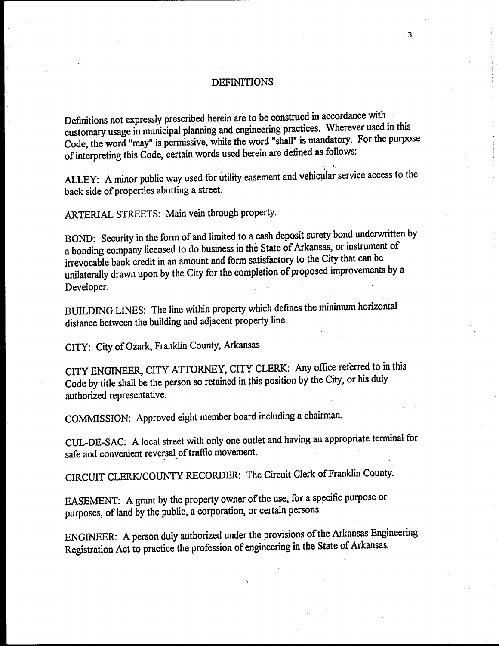#### **DEFINITIONS**

3

Definitions not expressly prescribed herein are to be construed in accordance with customary usage in municipal planning and engineering practices. Wherever used in this Code, the word "may" is permissive, while the word "shall" is mandatory. For the purpose of interpreting this Code, certain words used herein are defined as follows:

ALLEY: A minor public way used for utility easement and vehicular service access to the back side of properties abutting a street.

ARTERIAL STREETS: Main vein through property.

BOND: Security in the form of and limited to <sup>a</sup> cash deposit surety bond underwritten by a bonding company licensed to do business in the State of Arkansas, or instrument of irrevocable bank credit in an amount and form satisfactory to the City that can be unilaterally drawn upon by the City for the completion of proposed improvements by <sup>a</sup> Developer.

BUILDING LINES: The line within property which defines the minimum horizontal distance between the building and adjacent property line.

CITY: City of Ozark, Franklin County, Arkansas

CITY ENGINEER, CITY ATTORNEY, CITY CLERK: Any office referred to in this Code by title shall be the person so retained in this position by the City, or his duly authorized representative.

COMMISSION: Approved eight member board including a chairman.

CUL-DE-SAC: A local street with only one outlet and having an appropriate terminal for safe and convenient reversal of traffic movement.

CIRCUIT CLERK/COUNTY RECORDER: The Circuit Clerk of Franklin County.

EASEMENT: A grant by the property owner of the use, for a specific purpose or purposes, of land by the public, a corporation, or certain persons.

ENGINEER: A person duly authorized under the provisions of the Arkansas Engineering Registration Act to practice the profession of engineering in the State of Arkansas.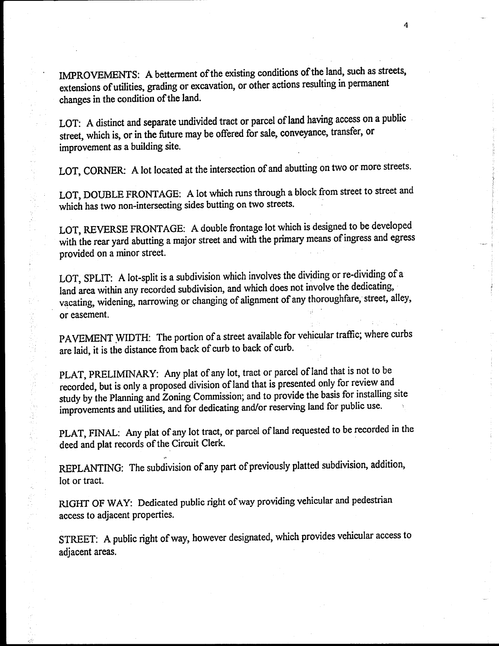IMPROVEMENTS: A betterment of the existing conditions of the land, such as streets, extensions of utilities, grading or excavation, or other actions resulting in permanent changes in the condition of the land.

LOT: A distinct and separate undivided tract or parcel of land having access on a public street, which is, or in the future may be offered for sale, conveyance, transfer, or improvement as a building site.

LOT, CORNER: A lot located at the intersection of and abutting on two or more streets.

LOT, DOUBLE FRONTAGE: A lot which runs through <sup>a</sup> block from street to street and which has two non-intersecting sides butting on two streets.

LOT, REVERSE FRONTAGE: A double frontage lot which is designed to be developed with the rear yard abutting a major street and with the primary means of ingress and egress provided on a minor street.

LOT, SPLIT: A lot-split is a subdivision which involves the dividing or re-dividing of a land area within any recorded subdivision, and which does not involve the dedicating, vacating, widening, narrowing or changing of alignment of any thoroughfare, street, alley, or easement.

PAVEMENT WIDTH: The portion of <sup>a</sup> street available for vehicular traffic; where curbs are laid, it is the distance from back of curb to back of curb.

PLAT, PRELIMINARY: Any plat of any lot, tract or parcel of land that is not to be recorded, but is only <sup>a</sup> proposed division of land that is presented only for review and study by the Planning and Zoning Commission; and to provide the basis for installing site improvements and utilities, and for dedicating and/or reserving land for public use.

医心室 医心室 医心室

 $\hat{\vec{r}}_i$ 

PLAT, FINAL: Any plat of any lot tract, or parcel of land requested to be recorded in the deed and plat records of the Circuit Clerk.

REPLANTING: The subdivision of any part of previously platted subdivision, addition, lot or tract.

RIGHT OF WAY: Dedicated public right of way providing vehicular and pedestrian access to adjacent properties.

STREET: A public right of way, however designated, which provides vehicular access to adjacent areas.

4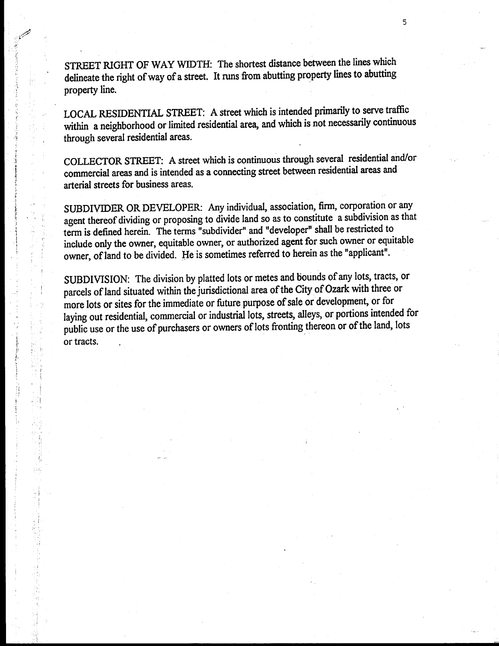STREET RIGHT OF WAY WIDTH: The shortest distance between the lines which delineate the right of way of a street. It runs from abutting property lines to abutting property line.

5

LOCAL RESIDENTIAL STREET: A street which is intended primarily to serve traffic within a neighborhood or limited residential area, and which is not necessarily continuous through several residential areas.

COLLECTOR STREET: A street which is continuous through several residential and/or commercial areas and is intended as a connecting street between residential areas and arterial streets for business areas.

SUBDIVIDER OR DEVELOPER: Any individual, association, firm, corporation or any agent thereof dividing or proposing to divide land so as to constitute a subdivision as that term is defined herein. The terms " subdivider" and " developer" shall be restricted to include only the owner, equitable owner, or authorized agent for such owner or equitable owner, of land to be divided. He is sometimes referred to herein as the "applicant".

SUBDIVISION: The division by platted lots or metes and bounds of any lots, tracts, or parcels of land situated within the jurisdictional area of the City of Ozark with three or more lots or sites for the immediate or future purpose of sale or development, or for laying out residential, commercial or industrial lots, streets, alleys, or portions intended for public use or the use of purchasers or owners of lots fronting thereon or of the land, lots or tracts.

i

d

i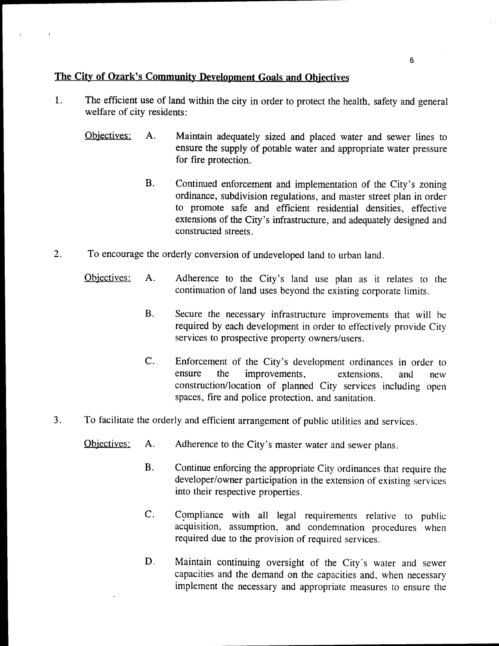### The City of Ozark's Community Development Goals and Objectives

- 1. The efficient use of land within the city in order to protect the health, safety and general welfare of city residents:
	- Objectives: A. Maintain adequately sized and placed water and sewer lines to ensure the supply of potable water and appropriate water pressure for fire protection.
		- B. Continued enforcement and implementation of the City's zoning ordinance, subdivision regulations, and master street plan in order to promote safe and efficient residential densities, effective extensions of the City's infrastructure, and adequately designed and constructed streets.
- 2. To encourage the orderly conversion of undeveloped land to urban land.
	- Objectives: A. Adherence to the City's land use plan as it relates to the continuation of land uses beyond the existing corporate limits.
		- B. Secure the necessary infrastructure improvements that will be required by each development in order to effectively provide City services to prospective property owners/users.
		- C. Enforcement of the City's development ordinances in order to ensure the improvements, extensions, and new improvements, extensions, and new construction/ location of planned City services including open spaces, fire and police protection, and sanitation.
- 3. To facilitate the orderly and efficient arrangement of public utilities and services.
	- Objectives: A. Adherence to the City's master water and sewer plans.
		- B. Continue enforcing the appropriate City ordinances that require the developer/owner participation in the extension of existing services into their respective properties.
		- C. Compliance with all legal requirements relative to public acquisition, assumption, and condemnation procedures when required due to the provision of required services.
		- D. Maintain continuing oversight of the City's water and sewer capacities and the demand on the capacities and, when necessary implement the necessary and appropriate measures to ensure the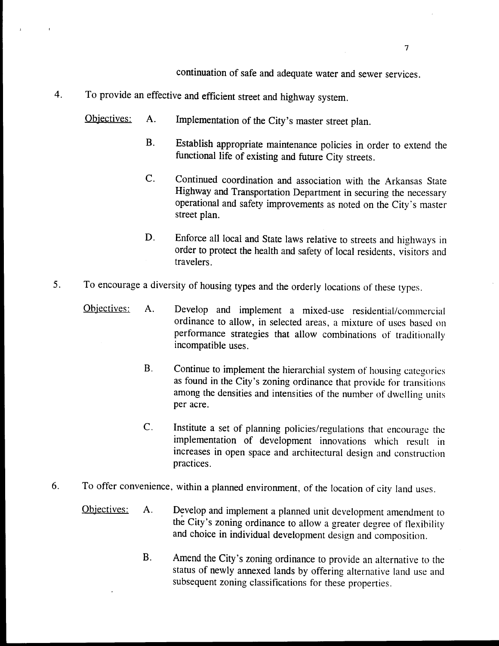continuation of safe and adequate water and sewer services.

- 4. To provide an effective and efficient street and highway system.
	- Objectives: A. Implementation of the City's master street plan.
		- B. Establish appropriate maintenance policies in order to extend the functional life of existing and future City streets.
		- C. Continued coordination and association with the Arkansas State Highway and Transportation Department in securing the necessary operational and safety improvements as noted on the City's master street plan.
		- D. Enforce all local and State laws relative to streets and highways in order to protect the health and safety of local residents, visitors and travelers.
- 5. To encourage <sup>a</sup> diversity of housing types and the orderly locations of these types.
	- Objectives: A. Develop and implement a mixed-use residential/commercial ordinance to allow, in selected areas, a mixture of uses based on performance strategies that allow combinations of traditionally incompatible uses.
		- B. Continue to implement the hierarchial system of housing categories as found in the City's zoning ordinance that provide for transitions among the densities and intensities of the number of dwelling units per acre.
		- C. Institute <sup>a</sup> set of planning policies/ regulations that encourage the implementation of development innovations which result in increases in open space and architectural design and construction practices.
- 6. To offer convenience, within <sup>a</sup> planned environment, of the location of city land uses.
	- Objectives: A. Develop and implement a planned unit development amendment to the City's zoning ordinance to allow a greater degree of flexibility and choice in individual development design and composition.
		- B. Amend the City's zoning ordinance to provide an alternative to the status of newly annexed lands by offering alternative land use and subsequent zoning classifications for these properties.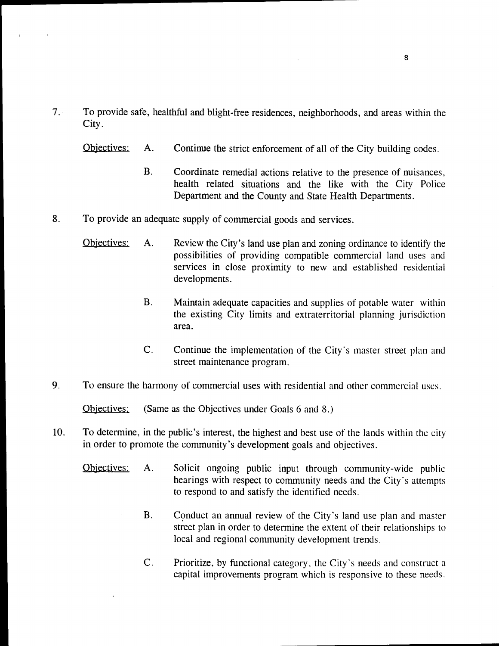- 7. To provide safe, healthful and blight- free residences, neighborhoods, and areas within the City.
	- Objectives: A. Continue the strict enforcement of all of the City building codes.
		- B. Coordinate remedial actions relative to the presence of nuisances, health related situations and the like with the City Police Department and the County and State Health Departments.
- 8. To provide an adequate supply of commercial goods and services.
	- Objectives: A. Review the City's land use plan and zoning ordinance to identify the possibilities of providing compatible commercial land uses and services in close proximity to new and established residential developments.
		- B. Maintain adequate capacities and supplies of potable water within the existing City limits and extraterritorial planning jurisdiction area.
		- C. Continue the implementation of the City's master street plan and street maintenance program.
- 9. To ensure the harmony of commercial uses with residential and other commercial uses.

Objectives: ( Same as the Objectives under Goals 6 and 8.)

- 10. To determine, in the public's interest, the highest and best use of the lands within the city in order to promote the community's development goals and objectives.
	- Objectives: A. Solicit ongoing public input through community-wide public hearings with respect to community needs and the City's attempts to respond to and satisfy the identified needs.
		- B. Conduct an annual review of the City's land use plan and master street plan in order to determine the extent of their relationships to local and regional community development trends.
		- C. Prioritize, by functional category, the City's needs and construct a capital improvements program which is responsive to these needs.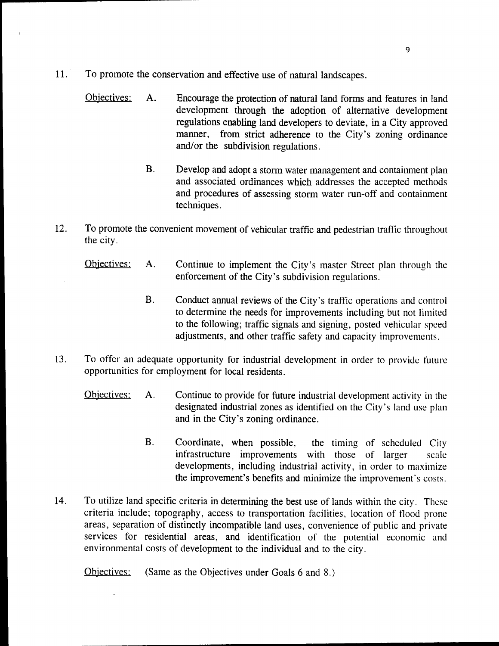- 11. To promote the conservation and effective use of natural landscapes.
	- Objectives: A. Encourage the protection of natural land forms and features in land development through the adoption of alternative development regulations enabling land developers to deviate, in a City approved manner, from strict adherence to the City's zoning ordinance and/or the subdivision regulations.
		- B. Develop and adopt <sup>a</sup> storm water management and containment plan and associated ordinances which addresses the accepted methods and procedures of assessing storm water run- off and containment techniques.
- 12. To promote the convenient movement of vehicular traffic and pedestrian traffic throughout the city.
	- Objectives: A. Continue to implement the City's master Street plan through the enforcement of the City's subdivision regulations.
		- B. Conduct annual reviews of the City's traffic operations and control to determine the needs for improvements including but not limited to the following; traffic signals and signing, posted vehicular speed adjustments, and other traffic safety and capacity improvements.
- 13. To offer an adequate opportunity for industrial development in order to provide future opportunities for employment for local residents.
	- Objectives: A. Continue to provide for future industrial development activity in the designated industrial zones as identified on the City's land use plan and in the City's zoning ordinance.
		- B. Coordinate, when possible, the timing of scheduled City infrastructure improvements with those of larger scale developments, including industrial activity, in order to maximize the improvement's benefits and minimize the improvement's costs.
- 14. To utilize land specific criteria in determining the best use of lands within the city. These criteria include; topography, access to transportation facilities, location of flood prone areas, separation of distinctly incompatible land uses, convenience of public and private services for residential areas, and identification of the potential economic and environmental costs of development to the individual and to the city.

Objectives: ( Same as the Objectives under Goals 6 and 8.)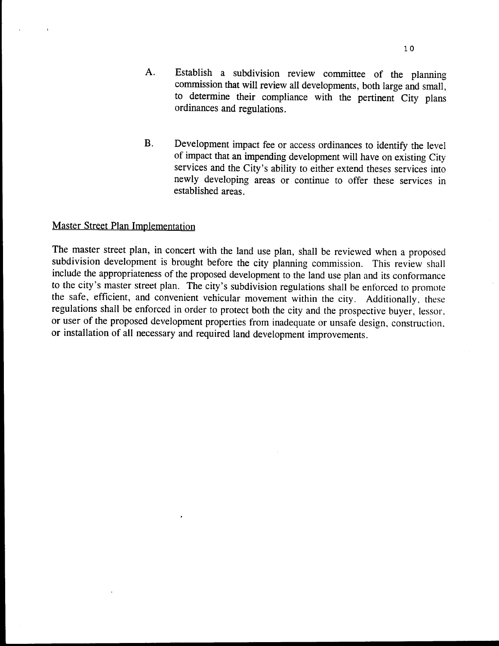- A. Establish <sup>a</sup> subdivision review committee of the planning commission that will review all developments, both large and small, to determine their compliance with the pertinent City plans ordinances and regulations.
- B. Development impact fee or access ordinances to identify the level of impact that an impending development will have on existing City services and the City's ability to either extend theses services into newly developing areas or continue to offer these services in established areas.

#### Master Street Plan Implementation

 $\epsilon$ 

The master street plan, in concert with the land use plan, shall be reviewed when <sup>a</sup> proposed subdivision development is brought before the city planning commission. This review shall include the appropriateness of the proposed development to the land use plan and its conformance to the city's master street plan. The city's subdivision regulations shall be enforced to promote the safe, efficient, and convenient vehicular movement within the city. Additionally, these regulations shall be enforced in order to protect both the city and the prospective buyer, lessor. or user of the proposed development properties from inadequate or unsafe design, construction. or installation of all necessary and required land development improvements.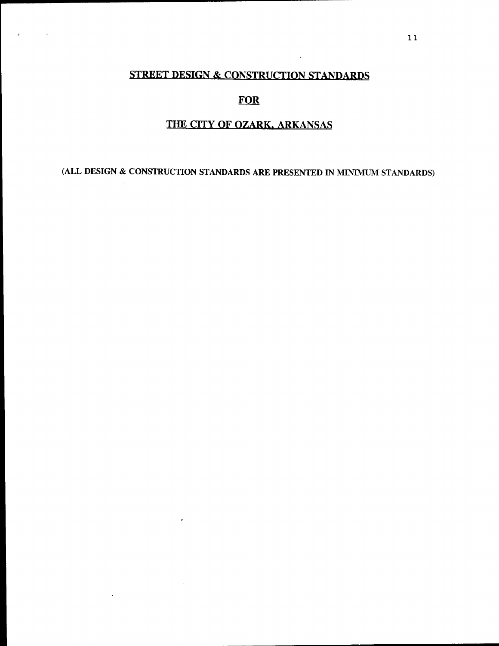## STREET DESIGN & CONSTRUCTION STANDARDS

 $\sim$   $\sim$ 

 $\mathbf{r}$ 

#### FOR

#### THE CITY OF OZARK, ARKANSAS

ALL DESIGN & CONSTRUCTION STANDARDS ARE PRESENTED IN MINIMUM STANDARDS)

 $\cdot$ 

 $\cdot$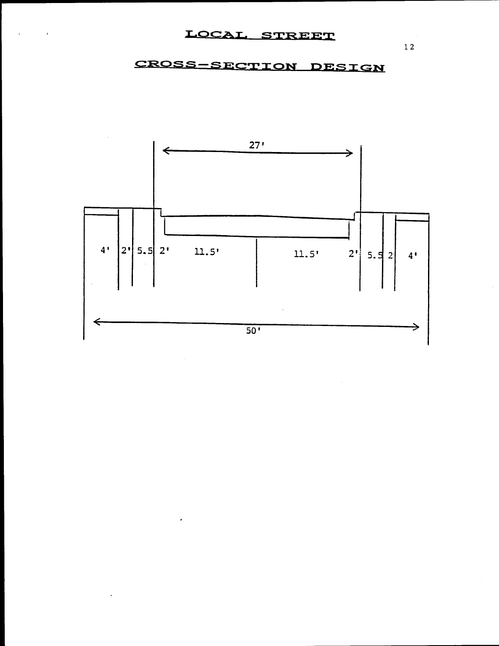$\lambda$ 

# CROSS-SECTION DESIGN



 $1\,2$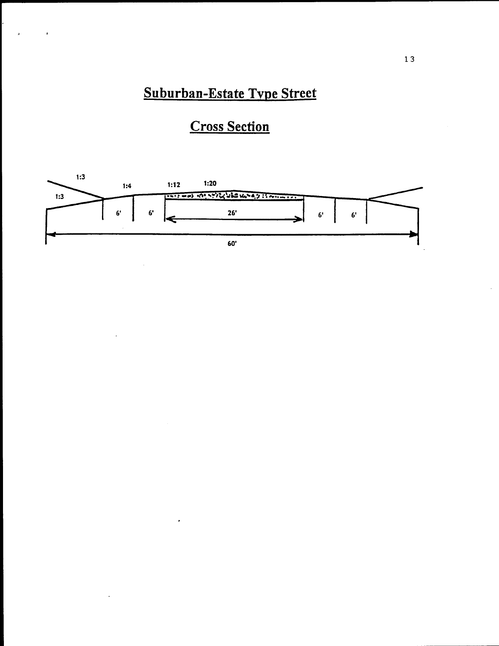# Suburban-Estate Type Street

 $\pmb{\ast}$ 

# **Cross Section**

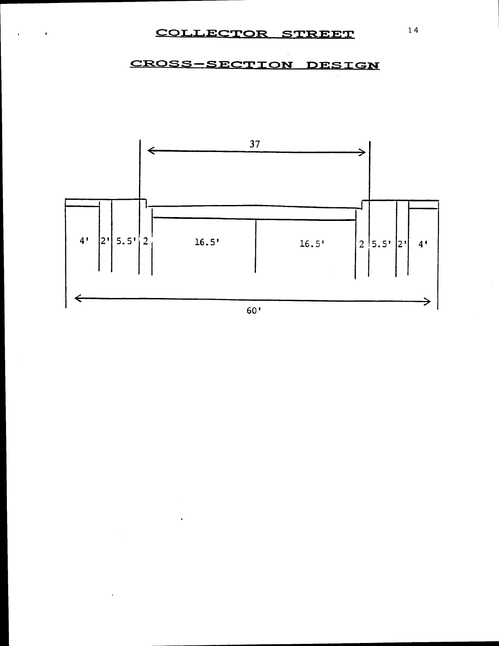### COLLECTOR STREET

 $\pmb{\cdot}$ 

## CROSS-SECTION DESIGN



14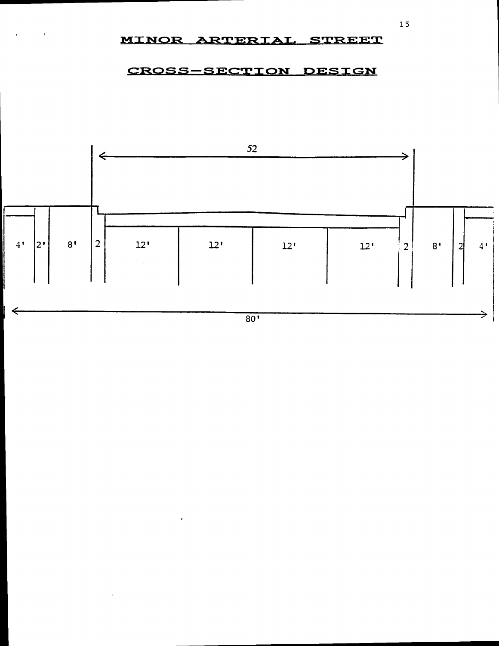#### MINOR ARTERIAL STREET

#### CROSS-SECTION DESIGN

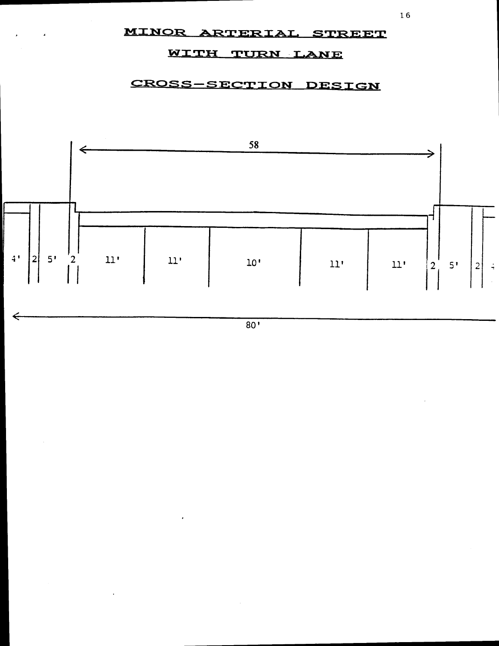### MINOR ARTERIAL STREET

### WITH TURN LANE

## CROSS-SECTION DESIGN



 $80'$ 

16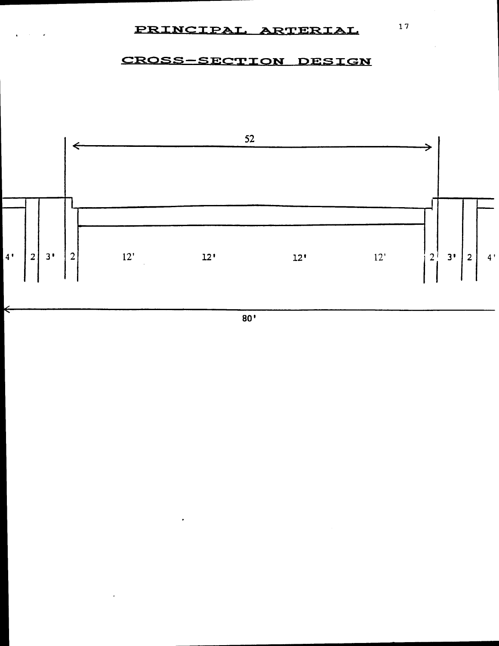#### PRINCIPAL ARTERIAL

#### CROSS-SECTION DESIGN



 $80'$ 

 $17$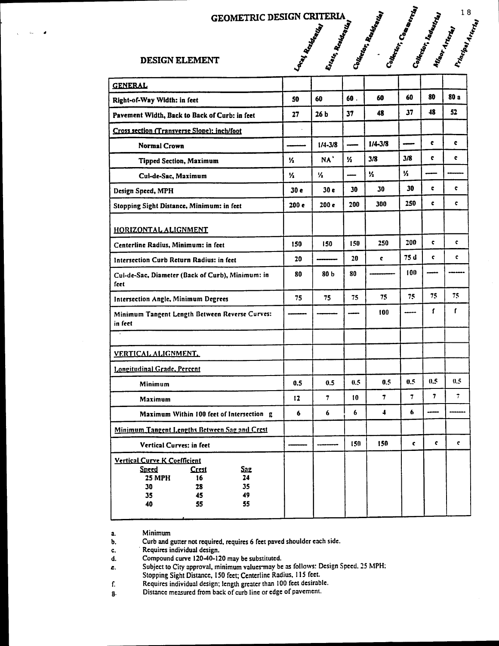### GEOMETRIC DESIGN CRITERIA

#### DESIGN ELEMENT

| <b>GENERAL</b>                                                                                                                                                |                  |                  |      |                |                         |              |                |
|---------------------------------------------------------------------------------------------------------------------------------------------------------------|------------------|------------------|------|----------------|-------------------------|--------------|----------------|
| Right-of-Way Width: in feet                                                                                                                                   | 50               | 60               | 60.  | 60             | 60                      | 80           | 80a            |
| Pavement Width, Back to Back of Curb: in feet                                                                                                                 |                  | 26 <sub>b</sub>  | 37   | 48             | 37                      | 48           | 52             |
| Cross section (Transverse Slope): inch/foot                                                                                                                   |                  |                  |      |                |                         |              |                |
| <b>Normal Crown</b>                                                                                                                                           |                  | $1/4 - 3/8$      | ---- | $1/4 - 3/8$    |                         | c            | c              |
| <b>Tipped Section, Maximum</b>                                                                                                                                | $\mathcal{V}_2$  | NA'              | И.   | 3/8            | 3/8                     | c            | ¢              |
| Cul-de-Sac, Maximum                                                                                                                                           | 1/2              | 1/2              |      | 1/2            | И.                      |              |                |
| Design Speed, MPH                                                                                                                                             |                  | 30 <sub>c</sub>  | 30   | 30             | 30                      | ¢            | ¢              |
| Stopping Sight Distance, Minimum: in feet                                                                                                                     | 200 <sub>e</sub> | 200 <sub>c</sub> | 200  | 300            | 250                     | ¢            | ¢.             |
| HORIZONTAL ALIGNMENT                                                                                                                                          |                  |                  |      |                |                         |              |                |
| Centerline Radius, Minimum: in feet                                                                                                                           | 150              | 150              | 150  | 250            | 200                     | ¢            | $\mathbf c$    |
| Intersection Curb Return Radius: in feet                                                                                                                      |                  |                  | 20   | ¢.             | 75 d                    | $\mathbf{c}$ | ¢              |
| Cul-de-Sac, Diameter (Back of Curb), Minimum: in<br>feet                                                                                                      |                  | 80 b             | 80   |                | 100                     |              |                |
| Intersection Angle, Minimum Degrees                                                                                                                           |                  | 75               | 75   | 75             | 75                      | 75           | 75             |
| Minimum Tangent Length Between Reverse Curves:<br>in feet                                                                                                     |                  |                  |      | 100            |                         | ſ            | ſ              |
| $\bullet$                                                                                                                                                     |                  |                  |      |                |                         |              |                |
| VERTICAL ALIGNMENT.                                                                                                                                           |                  |                  |      |                |                         |              |                |
| Longitudinal Grade, Percent                                                                                                                                   |                  |                  |      |                |                         |              |                |
| <b>Minimum</b>                                                                                                                                                |                  | 0.5              | 0.5  | 0.5            | 0.5                     | 0.5          | 0.5            |
| <b>Maximum</b>                                                                                                                                                |                  | $\overline{7}$   | 10   | $\overline{7}$ | $\overline{\mathbf{z}}$ | 7            | $\overline{1}$ |
| Maximum Within 100 feet of Intersection g                                                                                                                     |                  | 6                | 6    | 4              | 6                       |              |                |
| Minimum Tangent Lengths Between Sag and Crest                                                                                                                 |                  |                  |      |                |                         |              |                |
| <b>Vertical Curves: in feet</b>                                                                                                                               |                  |                  | 150  | 150            | ¢                       | ¢            | ¢              |
| <b>Vertical Curve K Coefficient</b><br><b>Sneed</b><br>Crest<br><u>Sag</u><br><b>25 MPH</b><br>16<br>24<br>35<br>28<br>30<br>45<br>49<br>35<br>55<br>40<br>55 |                  |                  |      |                |                         |              |                |

a. Minimum

b. Curb and gutter not required, requires 6 feet paved shoulder each side.

C. Requires individual design.

d. Compound curve 120-40-120 may be substituted.

e. Subject to City approval, minimum values may be as follows: Design Speed. 25 MPH.

Stopping Sight Distance, 150 feet; Centerline Radius, 115 feet.

f. Requires individual design; length greater than 100 feet desirable.

8. Distance measured from back of curb line or edge of pavement.

 $\sum_{i=1}^{n}$   $\sum_{i=1}^{n}$   $\sum_{i=1}^{n}$   $\sum_{i=1}^{n}$ 

s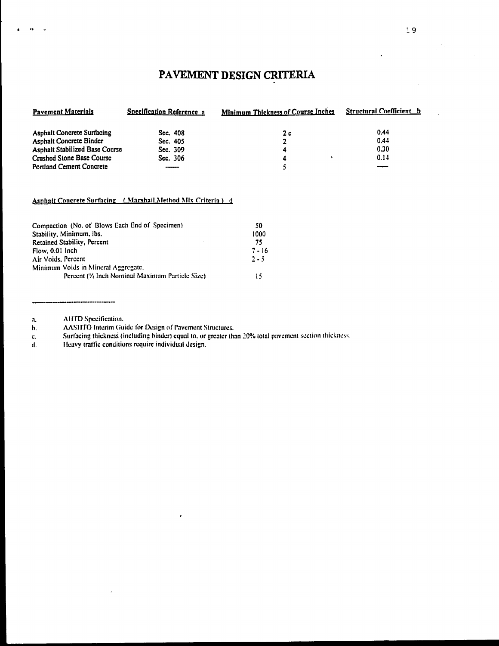# PAVEMENT DESIGN CRITERIA

| <b>Pavement Materials</b>         | <b>Specification Reference a</b> | <b>Minimum Thickness of Course Inches</b> | <b>Structural Coefficient h</b> |  |
|-----------------------------------|----------------------------------|-------------------------------------------|---------------------------------|--|
| <b>Asphalt Concrete Surfacing</b> | Sec. 408                         | 2 c                                       | 0.44                            |  |
| <b>Asphalt Concrete Binder</b>    | Sec. 405                         |                                           | 0.44                            |  |
| Asphalt Stabilized Base Course    | Sec. 309                         | 4                                         | 0.30                            |  |
| <b>Crushed Stone Base Course</b>  | Sec. 306                         | 4                                         | 0.14                            |  |
| <b>Portland Cement Concrete</b>   |                                  |                                           |                                 |  |

#### Asphalt Concrete Surfacing (Marshall Method Mix Criteria) d

| Compaction (No. of Blows Each End of Specimen)   | 50       |
|--------------------------------------------------|----------|
| Stability, Minimum, Ibs.                         | 1000     |
| <b>Retained Stability, Percent</b>               | 75       |
| Flow, 0.01 Inch                                  | $7 - 16$ |
| Air Voids, Percent                               | $2 - 5$  |
| Minimum Voids in Mineral Aggregate,              |          |
| Percent (1/2 Inch Nominal Maximum Particle Size) | 15       |

AHTD Specification.  $\mathbf{a}$ .

 $\mathbf{r}_b$ 

AASHTO Interim Guide for Design of Pavement Structures. b.

Surfacing thickness (including binder) equal to, or greater than 20% total pavement section thickness. c.

Heavy traffic conditions require individual design. d.